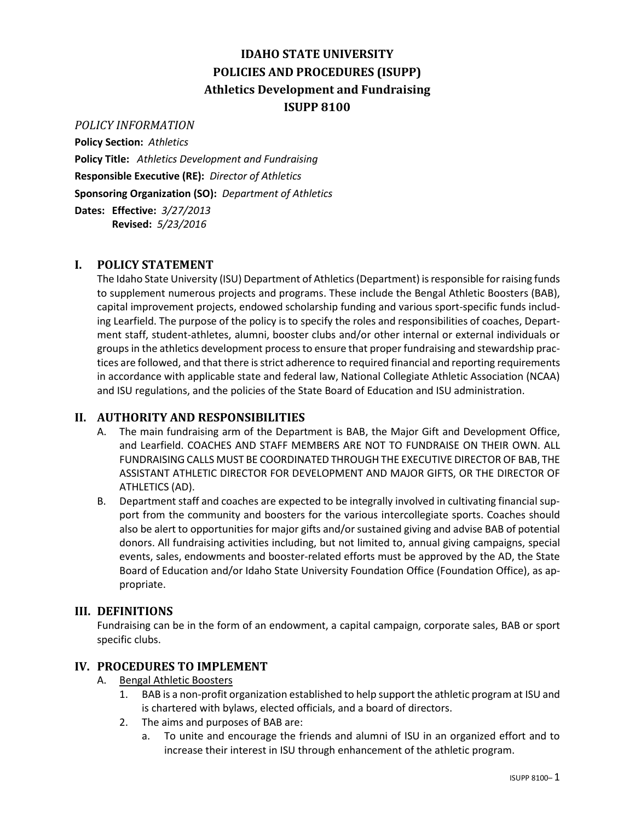# **IDAHO STATE UNIVERSITY POLICIES AND PROCEDURES (ISUPP) Athletics Development and Fundraising ISUPP 8100**

#### *POLICY INFORMATION*

**Policy Section:** *Athletics* **Policy Title:** *Athletics Development and Fundraising* **Responsible Executive (RE):** *Director of Athletics* **Sponsoring Organization (SO):** *Department of Athletics* **Dates: Effective:** *3/27/2013*

**Revised:** *5/23/2016*

## **I. POLICY STATEMENT**

The Idaho State University (ISU) Department of Athletics (Department) is responsible for raising funds to supplement numerous projects and programs. These include the Bengal Athletic Boosters (BAB), capital improvement projects, endowed scholarship funding and various sport-specific funds including Learfield. The purpose of the policy is to specify the roles and responsibilities of coaches, Department staff, student-athletes, alumni, booster clubs and/or other internal or external individuals or groups in the athletics development process to ensure that proper fundraising and stewardship practices are followed, and that there is strict adherence to required financial and reporting requirements in accordance with applicable state and federal law, National Collegiate Athletic Association (NCAA) and ISU regulations, and the policies of the State Board of Education and ISU administration.

## **II. AUTHORITY AND RESPONSIBILITIES**

- A. The main fundraising arm of the Department is BAB, the Major Gift and Development Office, and Learfield. COACHES AND STAFF MEMBERS ARE NOT TO FUNDRAISE ON THEIR OWN. ALL FUNDRAISING CALLS MUST BE COORDINATED THROUGH THE EXECUTIVE DIRECTOR OF BAB, THE ASSISTANT ATHLETIC DIRECTOR FOR DEVELOPMENT AND MAJOR GIFTS, OR THE DIRECTOR OF ATHLETICS (AD).
- B. Department staff and coaches are expected to be integrally involved in cultivating financial support from the community and boosters for the various intercollegiate sports. Coaches should also be alert to opportunities for major gifts and/or sustained giving and advise BAB of potential donors. All fundraising activities including, but not limited to, annual giving campaigns, special events, sales, endowments and booster-related efforts must be approved by the AD, the State Board of Education and/or Idaho State University Foundation Office (Foundation Office), as appropriate.

## **III. DEFINITIONS**

Fundraising can be in the form of an endowment, a capital campaign, corporate sales, BAB or sport specific clubs.

## **IV. PROCEDURES TO IMPLEMENT**

- A. Bengal Athletic Boosters
	- 1. BAB is a non-profit organization established to help support the athletic program at ISU and is chartered with bylaws, elected officials, and a board of directors.
	- 2. The aims and purposes of BAB are:
		- a. To unite and encourage the friends and alumni of ISU in an organized effort and to increase their interest in ISU through enhancement of the athletic program.